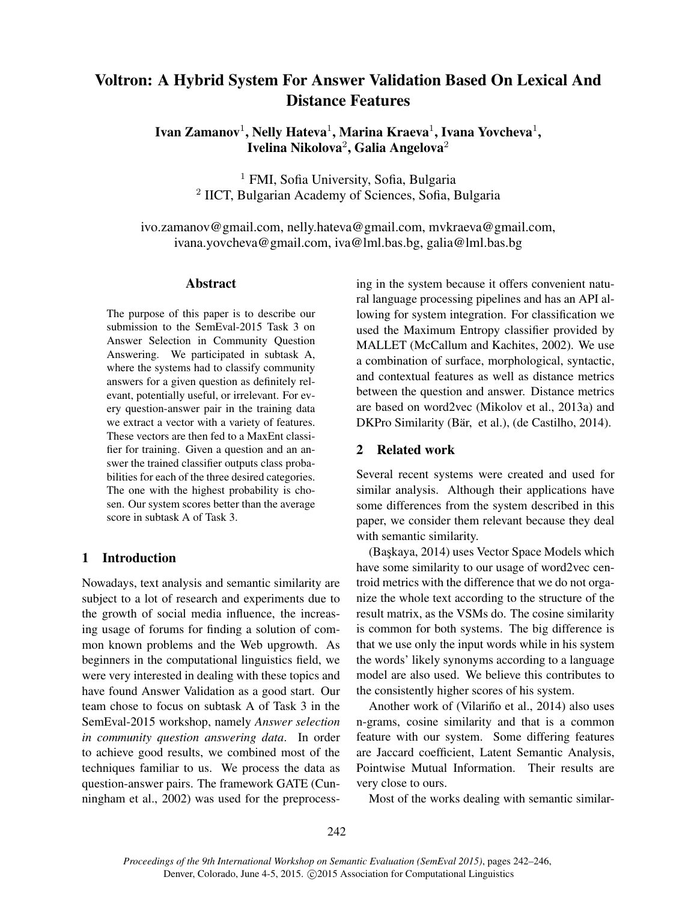# Voltron: A Hybrid System For Answer Validation Based On Lexical And Distance Features

Ivan Zamanov $^1$ , Nelly Hateva $^1$ , Marina Kraeva $^1$ , Ivana Yovcheva $^1$ , Ivelina Nikolova $^2$ , Galia Angelova $^2$ 

> <sup>1</sup> FMI, Sofia University, Sofia, Bulgaria 2 IICT, Bulgarian Academy of Sciences, Sofia, Bulgaria

ivo.zamanov@gmail.com, nelly.hateva@gmail.com, mvkraeva@gmail.com, ivana.yovcheva@gmail.com, iva@lml.bas.bg, galia@lml.bas.bg

## Abstract

The purpose of this paper is to describe our submission to the SemEval-2015 Task 3 on Answer Selection in Community Question Answering. We participated in subtask A, where the systems had to classify community answers for a given question as definitely relevant, potentially useful, or irrelevant. For every question-answer pair in the training data we extract a vector with a variety of features. These vectors are then fed to a MaxEnt classifier for training. Given a question and an answer the trained classifier outputs class probabilities for each of the three desired categories. The one with the highest probability is chosen. Our system scores better than the average score in subtask A of Task 3.

# 1 Introduction

Nowadays, text analysis and semantic similarity are subject to a lot of research and experiments due to the growth of social media influence, the increasing usage of forums for finding a solution of common known problems and the Web upgrowth. As beginners in the computational linguistics field, we were very interested in dealing with these topics and have found Answer Validation as a good start. Our team chose to focus on subtask A of Task 3 in the SemEval-2015 workshop, namely *Answer selection in community question answering data*. In order to achieve good results, we combined most of the techniques familiar to us. We process the data as question-answer pairs. The framework GATE (Cunningham et al., 2002) was used for the preprocessing in the system because it offers convenient natural language processing pipelines and has an API allowing for system integration. For classification we used the Maximum Entropy classifier provided by MALLET (McCallum and Kachites, 2002). We use a combination of surface, morphological, syntactic, and contextual features as well as distance metrics between the question and answer. Distance metrics are based on word2vec (Mikolov et al., 2013a) and DKPro Similarity (Bär, et al.), (de Castilho, 2014).

## 2 Related work

Several recent systems were created and used for similar analysis. Although their applications have some differences from the system described in this paper, we consider them relevant because they deal with semantic similarity.

(Başkaya, 2014) uses Vector Space Models which have some similarity to our usage of word2vec centroid metrics with the difference that we do not organize the whole text according to the structure of the result matrix, as the VSMs do. The cosine similarity is common for both systems. The big difference is that we use only the input words while in his system the words' likely synonyms according to a language model are also used. We believe this contributes to the consistently higher scores of his system.

Another work of (Vilariño et al., 2014) also uses n-grams, cosine similarity and that is a common feature with our system. Some differing features are Jaccard coefficient, Latent Semantic Analysis, Pointwise Mutual Information. Their results are very close to ours.

Most of the works dealing with semantic similar-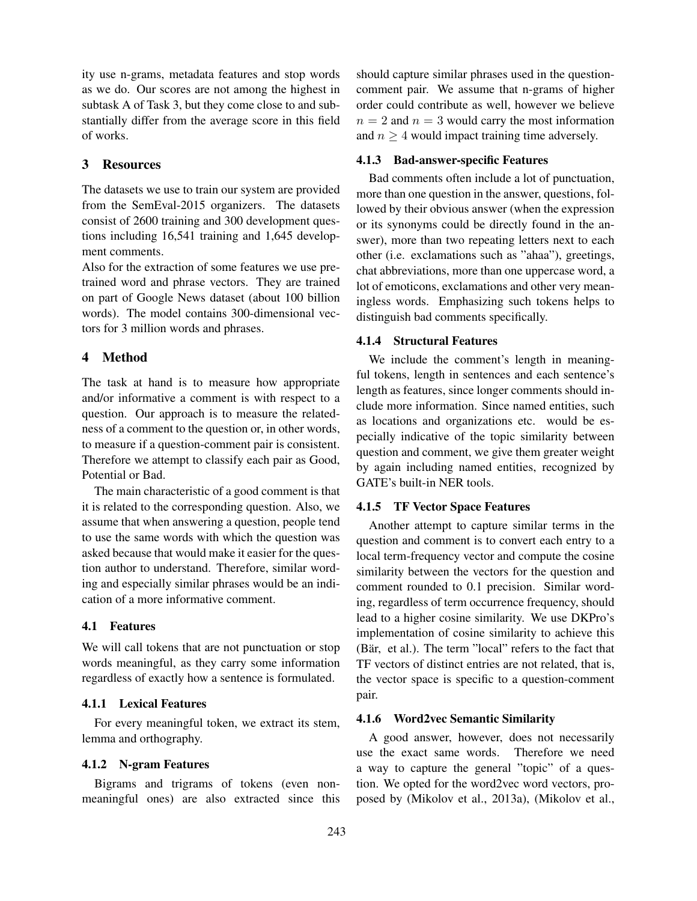ity use n-grams, metadata features and stop words as we do. Our scores are not among the highest in subtask A of Task 3, but they come close to and substantially differ from the average score in this field of works.

#### 3 Resources

The datasets we use to train our system are provided from the SemEval-2015 organizers. The datasets consist of 2600 training and 300 development questions including 16,541 training and 1,645 development comments.

Also for the extraction of some features we use pretrained word and phrase vectors. They are trained on part of Google News dataset (about 100 billion words). The model contains 300-dimensional vectors for 3 million words and phrases.

## 4 Method

The task at hand is to measure how appropriate and/or informative a comment is with respect to a question. Our approach is to measure the relatedness of a comment to the question or, in other words, to measure if a question-comment pair is consistent. Therefore we attempt to classify each pair as Good, Potential or Bad.

The main characteristic of a good comment is that it is related to the corresponding question. Also, we assume that when answering a question, people tend to use the same words with which the question was asked because that would make it easier for the question author to understand. Therefore, similar wording and especially similar phrases would be an indication of a more informative comment.

## 4.1 Features

We will call tokens that are not punctuation or stop words meaningful, as they carry some information regardless of exactly how a sentence is formulated.

## 4.1.1 Lexical Features

For every meaningful token, we extract its stem, lemma and orthography.

## 4.1.2 N-gram Features

Bigrams and trigrams of tokens (even nonmeaningful ones) are also extracted since this should capture similar phrases used in the questioncomment pair. We assume that n-grams of higher order could contribute as well, however we believe  $n = 2$  and  $n = 3$  would carry the most information and  $n \geq 4$  would impact training time adversely.

#### 4.1.3 Bad-answer-specific Features

Bad comments often include a lot of punctuation, more than one question in the answer, questions, followed by their obvious answer (when the expression or its synonyms could be directly found in the answer), more than two repeating letters next to each other (i.e. exclamations such as "ahaa"), greetings, chat abbreviations, more than one uppercase word, a lot of emoticons, exclamations and other very meaningless words. Emphasizing such tokens helps to distinguish bad comments specifically.

#### 4.1.4 Structural Features

We include the comment's length in meaningful tokens, length in sentences and each sentence's length as features, since longer comments should include more information. Since named entities, such as locations and organizations etc. would be especially indicative of the topic similarity between question and comment, we give them greater weight by again including named entities, recognized by GATE's built-in NER tools.

## 4.1.5 TF Vector Space Features

Another attempt to capture similar terms in the question and comment is to convert each entry to a local term-frequency vector and compute the cosine similarity between the vectors for the question and comment rounded to 0.1 precision. Similar wording, regardless of term occurrence frequency, should lead to a higher cosine similarity. We use DKPro's implementation of cosine similarity to achieve this (Bär, et al.). The term "local" refers to the fact that TF vectors of distinct entries are not related, that is, the vector space is specific to a question-comment pair.

#### 4.1.6 Word2vec Semantic Similarity

A good answer, however, does not necessarily use the exact same words. Therefore we need a way to capture the general "topic" of a question. We opted for the word2vec word vectors, proposed by (Mikolov et al., 2013a), (Mikolov et al.,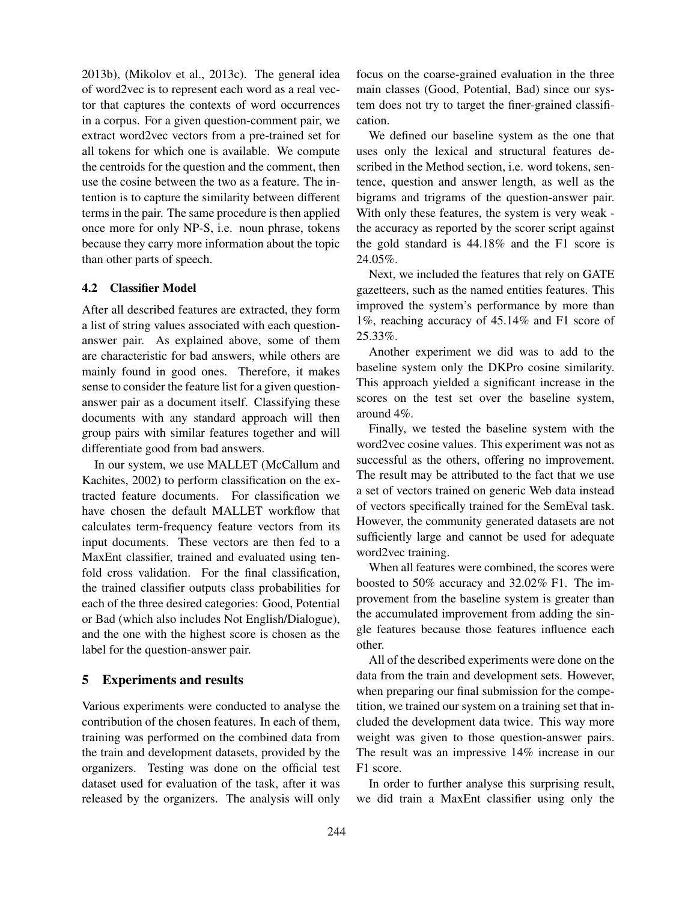2013b), (Mikolov et al., 2013c). The general idea of word2vec is to represent each word as a real vector that captures the contexts of word occurrences in a corpus. For a given question-comment pair, we extract word2vec vectors from a pre-trained set for all tokens for which one is available. We compute the centroids for the question and the comment, then use the cosine between the two as a feature. The intention is to capture the similarity between different terms in the pair. The same procedure is then applied once more for only NP-S, i.e. noun phrase, tokens because they carry more information about the topic than other parts of speech.

## 4.2 Classifier Model

After all described features are extracted, they form a list of string values associated with each questionanswer pair. As explained above, some of them are characteristic for bad answers, while others are mainly found in good ones. Therefore, it makes sense to consider the feature list for a given questionanswer pair as a document itself. Classifying these documents with any standard approach will then group pairs with similar features together and will differentiate good from bad answers.

In our system, we use MALLET (McCallum and Kachites, 2002) to perform classification on the extracted feature documents. For classification we have chosen the default MALLET workflow that calculates term-frequency feature vectors from its input documents. These vectors are then fed to a MaxEnt classifier, trained and evaluated using tenfold cross validation. For the final classification, the trained classifier outputs class probabilities for each of the three desired categories: Good, Potential or Bad (which also includes Not English/Dialogue), and the one with the highest score is chosen as the label for the question-answer pair.

#### 5 Experiments and results

Various experiments were conducted to analyse the contribution of the chosen features. In each of them, training was performed on the combined data from the train and development datasets, provided by the organizers. Testing was done on the official test dataset used for evaluation of the task, after it was released by the organizers. The analysis will only

focus on the coarse-grained evaluation in the three main classes (Good, Potential, Bad) since our system does not try to target the finer-grained classification.

We defined our baseline system as the one that uses only the lexical and structural features described in the Method section, i.e. word tokens, sentence, question and answer length, as well as the bigrams and trigrams of the question-answer pair. With only these features, the system is very weak the accuracy as reported by the scorer script against the gold standard is 44.18% and the F1 score is 24.05%.

Next, we included the features that rely on GATE gazetteers, such as the named entities features. This improved the system's performance by more than 1%, reaching accuracy of 45.14% and F1 score of 25.33%.

Another experiment we did was to add to the baseline system only the DKPro cosine similarity. This approach yielded a significant increase in the scores on the test set over the baseline system, around 4%.

Finally, we tested the baseline system with the word2vec cosine values. This experiment was not as successful as the others, offering no improvement. The result may be attributed to the fact that we use a set of vectors trained on generic Web data instead of vectors specifically trained for the SemEval task. However, the community generated datasets are not sufficiently large and cannot be used for adequate word2vec training.

When all features were combined, the scores were boosted to 50% accuracy and 32.02% F1. The improvement from the baseline system is greater than the accumulated improvement from adding the single features because those features influence each other.

All of the described experiments were done on the data from the train and development sets. However, when preparing our final submission for the competition, we trained our system on a training set that included the development data twice. This way more weight was given to those question-answer pairs. The result was an impressive 14% increase in our F1 score.

In order to further analyse this surprising result, we did train a MaxEnt classifier using only the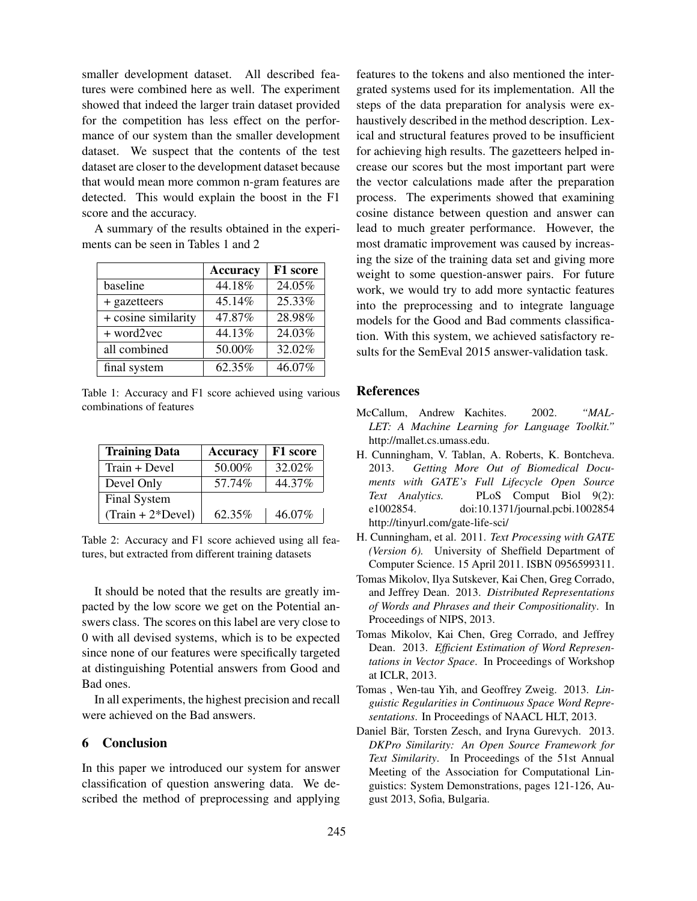smaller development dataset. All described features were combined here as well. The experiment showed that indeed the larger train dataset provided for the competition has less effect on the performance of our system than the smaller development dataset. We suspect that the contents of the test dataset are closer to the development dataset because that would mean more common n-gram features are detected. This would explain the boost in the F1 score and the accuracy.

A summary of the results obtained in the experiments can be seen in Tables 1 and 2

|                     | <b>Accuracy</b> | F1 score |
|---------------------|-----------------|----------|
| baseline            | 44.18%          | 24.05%   |
| + gazetteers        | 45.14%          | 25.33%   |
| + cosine similarity | 47.87%          | 28.98%   |
| + word2vec          | 44.13%          | 24.03%   |
| all combined        | 50.00%          | 32.02%   |
| final system        | 62.35%          | 46.07%   |

Table 1: Accuracy and F1 score achieved using various combinations of features

| <b>Training Data</b> | <b>Accuracy</b> | F1 score |
|----------------------|-----------------|----------|
| Train + Devel        | 50.00%          | 32.02%   |
| Devel Only           | 57.74%          | 44.37%   |
| Final System         |                 |          |
| $(Train + 2*Devel)$  | 62.35%          | 46.07%   |

Table 2: Accuracy and F1 score achieved using all features, but extracted from different training datasets

It should be noted that the results are greatly impacted by the low score we get on the Potential answers class. The scores on this label are very close to 0 with all devised systems, which is to be expected since none of our features were specifically targeted at distinguishing Potential answers from Good and Bad ones.

In all experiments, the highest precision and recall were achieved on the Bad answers.

### 6 Conclusion

In this paper we introduced our system for answer classification of question answering data. We described the method of preprocessing and applying features to the tokens and also mentioned the intergrated systems used for its implementation. All the steps of the data preparation for analysis were exhaustively described in the method description. Lexical and structural features proved to be insufficient for achieving high results. The gazetteers helped increase our scores but the most important part were the vector calculations made after the preparation process. The experiments showed that examining cosine distance between question and answer can lead to much greater performance. However, the most dramatic improvement was caused by increasing the size of the training data set and giving more weight to some question-answer pairs. For future work, we would try to add more syntactic features into the preprocessing and to integrate language models for the Good and Bad comments classification. With this system, we achieved satisfactory results for the SemEval 2015 answer-validation task.

#### **References**

- McCallum, Andrew Kachites. 2002. *"MAL-LET: A Machine Learning for Language Toolkit."* http://mallet.cs.umass.edu.
- H. Cunningham, V. Tablan, A. Roberts, K. Bontcheva. 2013. *Getting More Out of Biomedical Documents with GATE's Full Lifecycle Open Source Text Analytics.* PLoS Comput Biol 9(2): e1002854. doi:10.1371/journal.pcbi.1002854 http://tinyurl.com/gate-life-sci/
- H. Cunningham, et al. 2011. *Text Processing with GATE (Version 6).* University of Sheffield Department of Computer Science. 15 April 2011. ISBN 0956599311.
- Tomas Mikolov, Ilya Sutskever, Kai Chen, Greg Corrado, and Jeffrey Dean. 2013. *Distributed Representations of Words and Phrases and their Compositionality*. In Proceedings of NIPS, 2013.
- Tomas Mikolov, Kai Chen, Greg Corrado, and Jeffrey Dean. 2013. *Efficient Estimation of Word Representations in Vector Space*. In Proceedings of Workshop at ICLR, 2013.
- Tomas , Wen-tau Yih, and Geoffrey Zweig. 2013. *Linguistic Regularities in Continuous Space Word Representations*. In Proceedings of NAACL HLT, 2013.
- Daniel Bär, Torsten Zesch, and Iryna Gurevych. 2013. *DKPro Similarity: An Open Source Framework for Text Similarity*. In Proceedings of the 51st Annual Meeting of the Association for Computational Linguistics: System Demonstrations, pages 121-126, August 2013, Sofia, Bulgaria.